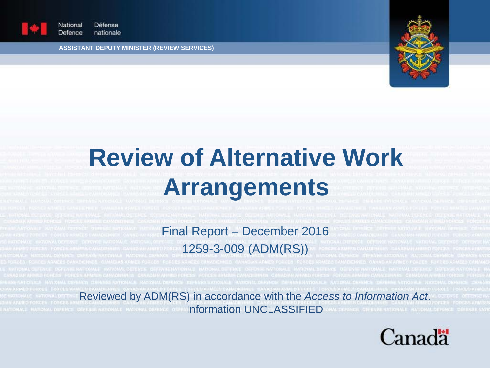

Défense National Defence nationale

**ASSISTANT DEPUTY MINISTER (REVIEW SERVICES)**



# **Review of Alternative Work Arrangements**

### Final Report – December 2016 1259-3-009 (ADM(RS))

Reviewed by ADM(RS) in accordance with the *Access to Information Act*. **Information UNCLASSIFIED** 

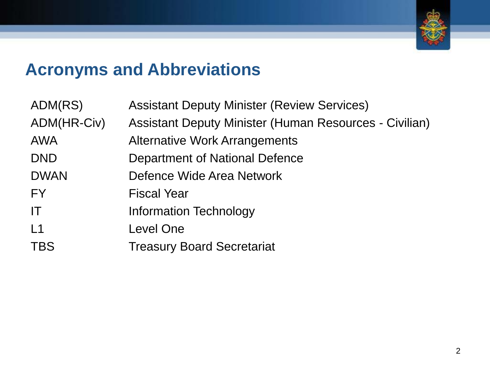

### **Acronyms and Abbreviations**

| <b>Assistant Deputy Minister (Review Services)</b>     |
|--------------------------------------------------------|
| Assistant Deputy Minister (Human Resources - Civilian) |
| <b>Alternative Work Arrangements</b>                   |
| Department of National Defence                         |
| Defence Wide Area Network                              |
| <b>Fiscal Year</b>                                     |
| <b>Information Technology</b>                          |
| Level One                                              |
| <b>Treasury Board Secretariat</b>                      |
|                                                        |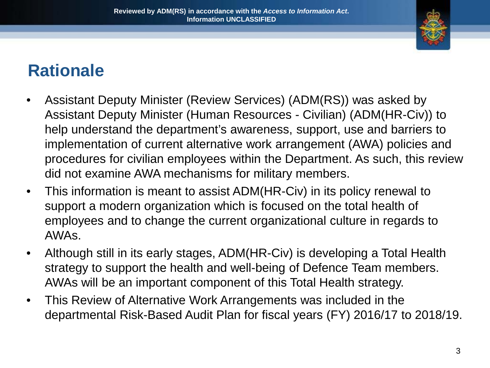

### **Rationale**

- Assistant Deputy Minister (Review Services) (ADM(RS)) was asked by Assistant Deputy Minister (Human Resources - Civilian) (ADM(HR-Civ)) to help understand the department's awareness, support, use and barriers to implementation of current alternative work arrangement (AWA) policies and procedures for civilian employees within the Department. As such, this review did not examine AWA mechanisms for military members.
- This information is meant to assist ADM(HR-Civ) in its policy renewal to support a modern organization which is focused on the total health of employees and to change the current organizational culture in regards to AWAs.
- Although still in its early stages, ADM(HR-Civ) is developing a Total Health strategy to support the health and well-being of Defence Team members. AWAs will be an important component of this Total Health strategy.
- This Review of Alternative Work Arrangements was included in the departmental Risk-Based Audit Plan for fiscal years (FY) 2016/17 to 2018/19.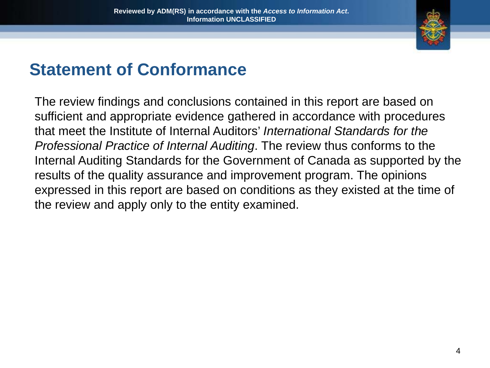

### **Statement of Conformance**

The review findings and conclusions contained in this report are based on sufficient and appropriate evidence gathered in accordance with procedures that meet the Institute of Internal Auditors' *International Standards for the Professional Practice of Internal Auditing*. The review thus conforms to the Internal Auditing Standards for the Government of Canada as supported by the results of the quality assurance and improvement program. The opinions expressed in this report are based on conditions as they existed at the time of the review and apply only to the entity examined.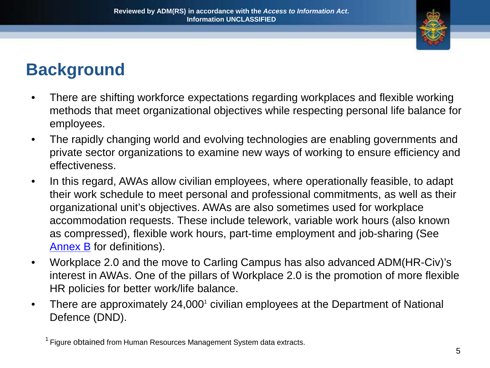

### **Background**

- There are shifting workforce expectations regarding workplaces and flexible working methods that meet organizational objectives while respecting personal life balance for employees.
- The rapidly changing world and evolving technologies are enabling governments and private sector organizations to examine new ways of working to ensure efficiency and effectiveness.
- In this regard, AWAs allow civilian employees, where operationally feasible, to adapt their work schedule to meet personal and professional commitments, as well as their organizational unit's objectives. AWAs are also sometimes used for workplace accommodation requests. These include telework, variable work hours (also known as compressed), flexible work hours, part-time employment and job-sharing (See [Annex B](#page-21-0) for definitions).
- Workplace 2.0 and the move to Carling Campus has also advanced ADM(HR-Civ)'s interest in AWAs. One of the pillars of Workplace 2.0 is the promotion of more flexible HR policies for better work/life balance.
- There are approximately 24,000<sup>1</sup> civilian employees at the Department of National Defence (DND).

<sup>&</sup>lt;sup>1</sup> Figure obtained from Human Resources Management System data extracts.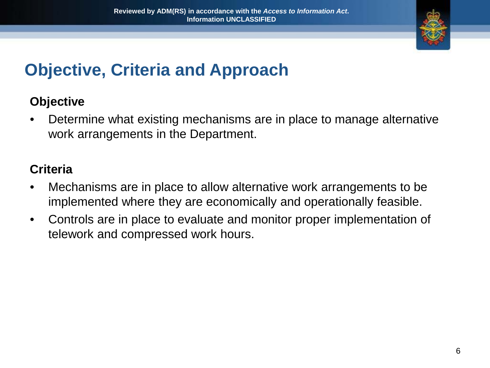

### **Objective, Criteria and Approach**

#### **Objective**

• Determine what existing mechanisms are in place to manage alternative work arrangements in the Department.

#### **Criteria**

- Mechanisms are in place to allow alternative work arrangements to be implemented where they are economically and operationally feasible.
- Controls are in place to evaluate and monitor proper implementation of telework and compressed work hours.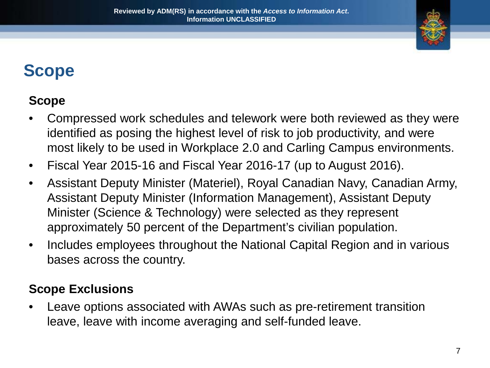

### **Scope**

### **Scope**

- Compressed work schedules and telework were both reviewed as they were identified as posing the highest level of risk to job productivity, and were most likely to be used in Workplace 2.0 and Carling Campus environments.
- Fiscal Year 2015-16 and Fiscal Year 2016-17 (up to August 2016).
- Assistant Deputy Minister (Materiel), Royal Canadian Navy, Canadian Army, Assistant Deputy Minister (Information Management), Assistant Deputy Minister (Science & Technology) were selected as they represent approximately 50 percent of the Department's civilian population.
- Includes employees throughout the National Capital Region and in various bases across the country.

#### **Scope Exclusions**

Leave options associated with AWAs such as pre-retirement transition leave, leave with income averaging and self-funded leave.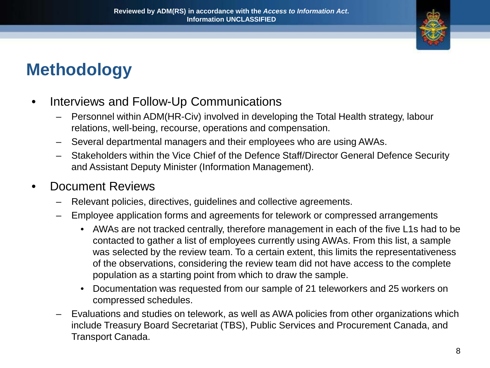

### **Methodology**

- Interviews and Follow-Up Communications
	- Personnel within ADM(HR-Civ) involved in developing the Total Health strategy, labour relations, well-being, recourse, operations and compensation.
	- Several departmental managers and their employees who are using AWAs.
	- Stakeholders within the Vice Chief of the Defence Staff/Director General Defence Security and Assistant Deputy Minister (Information Management).

#### • Document Reviews

- Relevant policies, directives, guidelines and collective agreements.
- Employee application forms and agreements for telework or compressed arrangements
	- AWAs are not tracked centrally, therefore management in each of the five L1s had to be contacted to gather a list of employees currently using AWAs. From this list, a sample was selected by the review team. To a certain extent, this limits the representativeness of the observations, considering the review team did not have access to the complete population as a starting point from which to draw the sample.
	- Documentation was requested from our sample of 21 teleworkers and 25 workers on compressed schedules.
- Evaluations and studies on telework, as well as AWA policies from other organizations which include Treasury Board Secretariat (TBS), Public Services and Procurement Canada, and Transport Canada.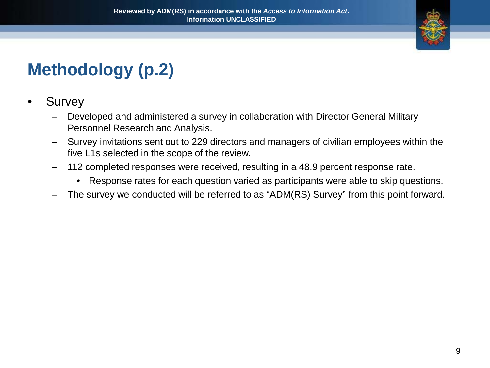

## **Methodology (p.2)**

- **Survey** 
	- Developed and administered a survey in collaboration with Director General Military Personnel Research and Analysis.
	- Survey invitations sent out to 229 directors and managers of civilian employees within the five L1s selected in the scope of the review.
	- 112 completed responses were received, resulting in a 48.9 percent response rate.
		- Response rates for each question varied as participants were able to skip questions.
	- The survey we conducted will be referred to as "ADM(RS) Survey" from this point forward.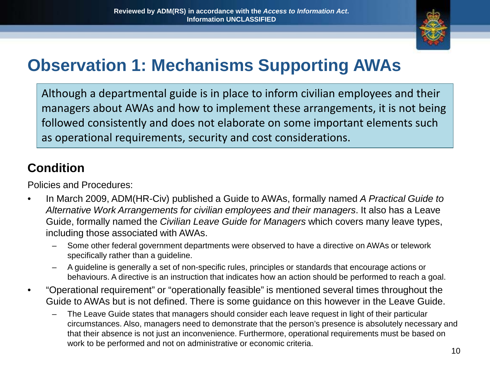

### **Observation 1: Mechanisms Supporting AWAs**

Although a departmental guide is in place to inform civilian employees and their managers about AWAs and how to implement these arrangements, it is not being followed consistently and does not elaborate on some important elements such as operational requirements, security and cost considerations.

### **Condition**

Policies and Procedures:

- In March 2009, ADM(HR-Civ) published a Guide to AWAs, formally named *A Practical Guide to Alternative Work Arrangements for civilian employees and their managers*. It also has a Leave Guide, formally named the *Civilian Leave Guide for Managers* which covers many leave types, including those associated with AWAs.
	- Some other federal government departments were observed to have a directive on AWAs or telework specifically rather than a guideline.
	- A guideline is generally a set of non-specific rules, principles or standards that encourage actions or behaviours. A directive is an instruction that indicates how an action should be performed to reach a goal.
- "Operational requirement" or "operationally feasible" is mentioned several times throughout the Guide to AWAs but is not defined. There is some guidance on this however in the Leave Guide.
	- The Leave Guide states that managers should consider each leave request in light of their particular circumstances. Also, managers need to demonstrate that the person's presence is absolutely necessary and that their absence is not just an inconvenience. Furthermore, operational requirements must be based on work to be performed and not on administrative or economic criteria.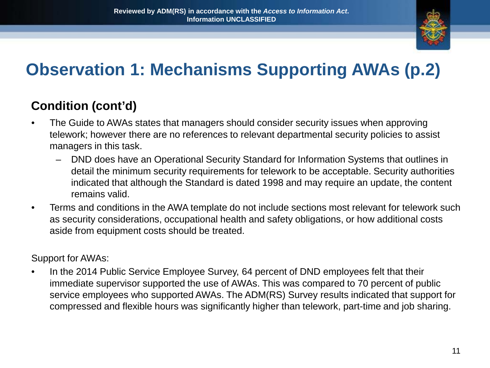

## **Observation 1: Mechanisms Supporting AWAs (p.2)**

### **Condition (cont'd)**

- The Guide to AWAs states that managers should consider security issues when approving telework; however there are no references to relevant departmental security policies to assist managers in this task.
	- DND does have an Operational Security Standard for Information Systems that outlines in detail the minimum security requirements for telework to be acceptable. Security authorities indicated that although the Standard is dated 1998 and may require an update, the content remains valid.
- Terms and conditions in the AWA template do not include sections most relevant for telework such as security considerations, occupational health and safety obligations, or how additional costs aside from equipment costs should be treated.

Support for AWAs:

In the 2014 Public Service Employee Survey, 64 percent of DND employees felt that their immediate supervisor supported the use of AWAs. This was compared to 70 percent of public service employees who supported AWAs. The ADM(RS) Survey results indicated that support for compressed and flexible hours was significantly higher than telework, part-time and job sharing.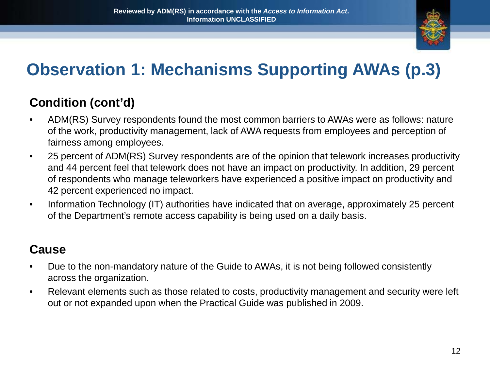

## **Observation 1: Mechanisms Supporting AWAs (p.3)**

### **Condition (cont'd)**

- ADM(RS) Survey respondents found the most common barriers to AWAs were as follows: nature of the work, productivity management, lack of AWA requests from employees and perception of fairness among employees.
- 25 percent of ADM(RS) Survey respondents are of the opinion that telework increases productivity and 44 percent feel that telework does not have an impact on productivity. In addition, 29 percent of respondents who manage teleworkers have experienced a positive impact on productivity and 42 percent experienced no impact.
- Information Technology (IT) authorities have indicated that on average, approximately 25 percent of the Department's remote access capability is being used on a daily basis.

#### **Cause**

- Due to the non-mandatory nature of the Guide to AWAs, it is not being followed consistently across the organization.
- Relevant elements such as those related to costs, productivity management and security were left out or not expanded upon when the Practical Guide was published in 2009.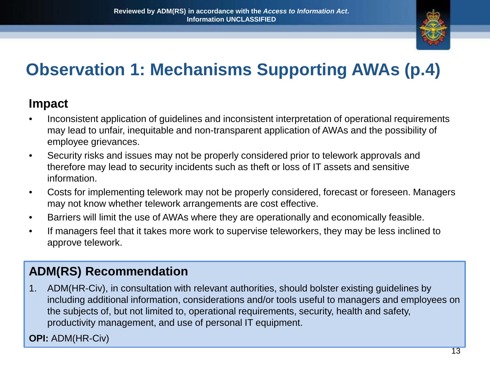

## **Observation 1: Mechanisms Supporting AWAs (p.4)**

#### **Impact**

- Inconsistent application of guidelines and inconsistent interpretation of operational requirements may lead to unfair, inequitable and non-transparent application of AWAs and the possibility of employee grievances.
- Security risks and issues may not be properly considered prior to telework approvals and therefore may lead to security incidents such as theft or loss of IT assets and sensitive information.
- Costs for implementing telework may not be properly considered, forecast or foreseen. Managers may not know whether telework arrangements are cost effective.
- Barriers will limit the use of AWAs where they are operationally and economically feasible.
- If managers feel that it takes more work to supervise teleworkers, they may be less inclined to approve telework.

#### **ADM(RS) Recommendation**

1. ADM(HR-Civ), in consultation with relevant authorities, should bolster existing guidelines by including additional information, considerations and/or tools useful to managers and employees on the subjects of, but not limited to, operational requirements, security, health and safety, productivity management, and use of personal IT equipment.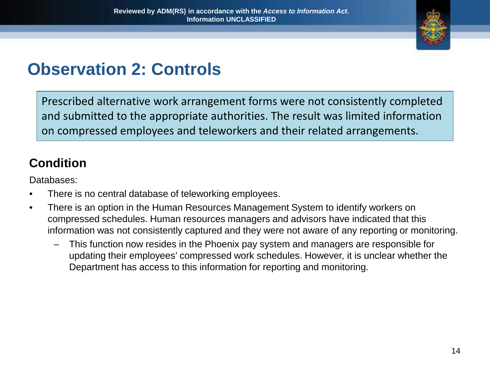

### **Observation 2: Controls**

Prescribed alternative work arrangement forms were not consistently completed and submitted to the appropriate authorities. The result was limited information on compressed employees and teleworkers and their related arrangements.

#### **Condition**

Databases:

- There is no central database of teleworking employees.
- There is an option in the Human Resources Management System to identify workers on compressed schedules. Human resources managers and advisors have indicated that this information was not consistently captured and they were not aware of any reporting or monitoring.
	- This function now resides in the Phoenix pay system and managers are responsible for updating their employees' compressed work schedules. However, it is unclear whether the Department has access to this information for reporting and monitoring.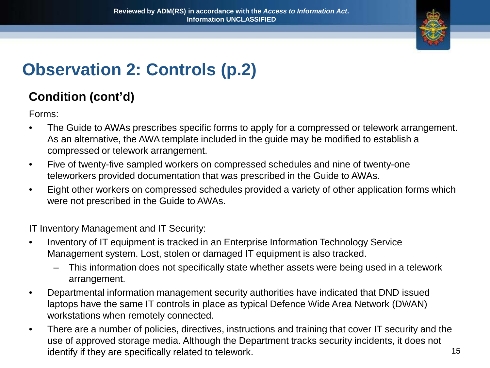

## **Observation 2: Controls (p.2)**

#### **Condition (cont'd)**

Forms:

- The Guide to AWAs prescribes specific forms to apply for a compressed or telework arrangement. As an alternative, the AWA template included in the guide may be modified to establish a compressed or telework arrangement.
- Five of twenty-five sampled workers on compressed schedules and nine of twenty-one teleworkers provided documentation that was prescribed in the Guide to AWAs.
- Eight other workers on compressed schedules provided a variety of other application forms which were not prescribed in the Guide to AWAs.

IT Inventory Management and IT Security:

- Inventory of IT equipment is tracked in an Enterprise Information Technology Service Management system. Lost, stolen or damaged IT equipment is also tracked.
	- This information does not specifically state whether assets were being used in a telework arrangement.
- Departmental information management security authorities have indicated that DND issued laptops have the same IT controls in place as typical Defence Wide Area Network (DWAN) workstations when remotely connected.
- There are a number of policies, directives, instructions and training that cover IT security and the use of approved storage media. Although the Department tracks security incidents, it does not identify if they are specifically related to telework. 15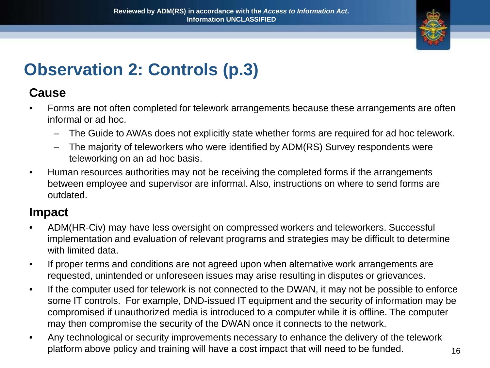

### **Observation 2: Controls (p.3)**

#### **Cause**

- Forms are not often completed for telework arrangements because these arrangements are often informal or ad hoc.
	- The Guide to AWAs does not explicitly state whether forms are required for ad hoc telework.
	- The majority of teleworkers who were identified by ADM(RS) Survey respondents were teleworking on an ad hoc basis.
- Human resources authorities may not be receiving the completed forms if the arrangements between employee and supervisor are informal. Also, instructions on where to send forms are outdated.

#### **Impact**

- ADM(HR-Civ) may have less oversight on compressed workers and teleworkers. Successful implementation and evaluation of relevant programs and strategies may be difficult to determine with limited data.
- If proper terms and conditions are not agreed upon when alternative work arrangements are requested, unintended or unforeseen issues may arise resulting in disputes or grievances.
- If the computer used for telework is not connected to the DWAN, it may not be possible to enforce some IT controls. For example, DND-issued IT equipment and the security of information may be compromised if unauthorized media is introduced to a computer while it is offline. The computer may then compromise the security of the DWAN once it connects to the network.
- Any technological or security improvements necessary to enhance the delivery of the telework platform above policy and training will have a cost impact that will need to be funded.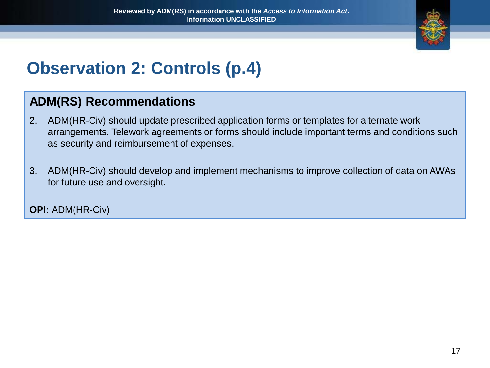

## **Observation 2: Controls (p.4)**

#### **ADM(RS) Recommendations**

- 2. ADM(HR-Civ) should update prescribed application forms or templates for alternate work arrangements. Telework agreements or forms should include important terms and conditions such as security and reimbursement of expenses.
- 3. ADM(HR-Civ) should develop and implement mechanisms to improve collection of data on AWAs for future use and oversight.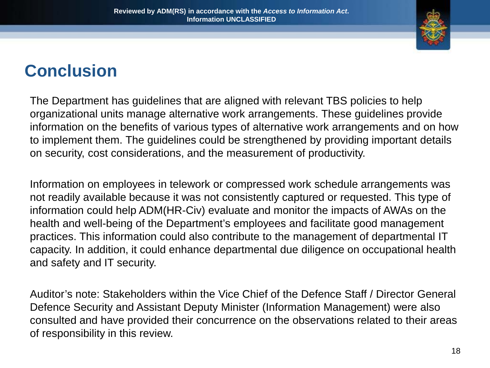

The Department has guidelines that are aligned with relevant TBS policies to help organizational units manage alternative work arrangements. These guidelines provide information on the benefits of various types of alternative work arrangements and on how to implement them. The guidelines could be strengthened by providing important details on security, cost considerations, and the measurement of productivity.

Information on employees in telework or compressed work schedule arrangements was not readily available because it was not consistently captured or requested. This type of information could help ADM(HR-Civ) evaluate and monitor the impacts of AWAs on the health and well-being of the Department's employees and facilitate good management practices. This information could also contribute to the management of departmental IT capacity. In addition, it could enhance departmental due diligence on occupational health and safety and IT security.

Auditor's note: Stakeholders within the Vice Chief of the Defence Staff / Director General Defence Security and Assistant Deputy Minister (Information Management) were also consulted and have provided their concurrence on the observations related to their areas of responsibility in this review.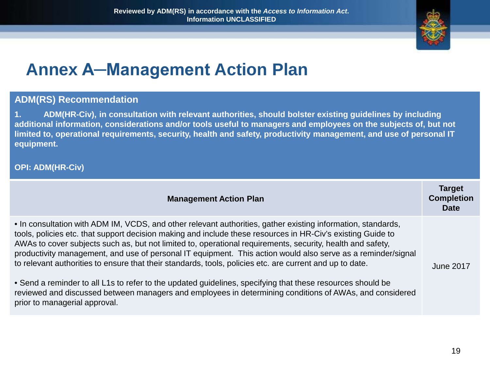

### **Annex A─Management Action Plan**

#### **ADM(RS) Recommendation**

**1. ADM(HR-Civ), in consultation with relevant authorities, should bolster existing guidelines by including additional information, considerations and/or tools useful to managers and employees on the subjects of, but not limited to, operational requirements, security, health and safety, productivity management, and use of personal IT equipment.**

| <b>Management Action Plan</b>                                                                                                                                                                                                                                                                                                                                                                                                                                                                                                                                                                                                                                                       | <b>Target</b><br><b>Completion</b><br><b>Date</b> |
|-------------------------------------------------------------------------------------------------------------------------------------------------------------------------------------------------------------------------------------------------------------------------------------------------------------------------------------------------------------------------------------------------------------------------------------------------------------------------------------------------------------------------------------------------------------------------------------------------------------------------------------------------------------------------------------|---------------------------------------------------|
| • In consultation with ADM IM, VCDS, and other relevant authorities, gather existing information, standards,<br>tools, policies etc. that support decision making and include these resources in HR-Civ's existing Guide to<br>AWAs to cover subjects such as, but not limited to, operational requirements, security, health and safety,<br>productivity management, and use of personal IT equipment. This action would also serve as a reminder/signal<br>to relevant authorities to ensure that their standards, tools, policies etc. are current and up to date.<br>• Send a reminder to all L1s to refer to the updated guidelines, specifying that these resources should be | June 2017                                         |
| reviewed and discussed between managers and employees in determining conditions of AWAs, and considered<br>prior to managerial approval.                                                                                                                                                                                                                                                                                                                                                                                                                                                                                                                                            |                                                   |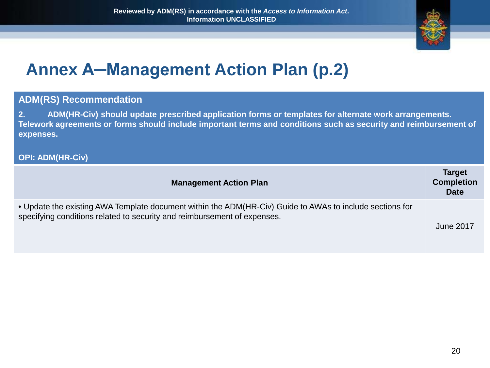

### **Annex A─Management Action Plan (p.2)**

#### **ADM(RS) Recommendation**

**2. ADM(HR-Civ) should update prescribed application forms or templates for alternate work arrangements. Telework agreements or forms should include important terms and conditions such as security and reimbursement of expenses.**

| <b>Management Action Plan</b>                                                                                                                                                        | <b>Target</b><br><b>Completion</b><br><b>Date</b> |
|--------------------------------------------------------------------------------------------------------------------------------------------------------------------------------------|---------------------------------------------------|
| • Update the existing AWA Template document within the ADM(HR-Civ) Guide to AWAs to include sections for<br>specifying conditions related to security and reimbursement of expenses. | June 2017                                         |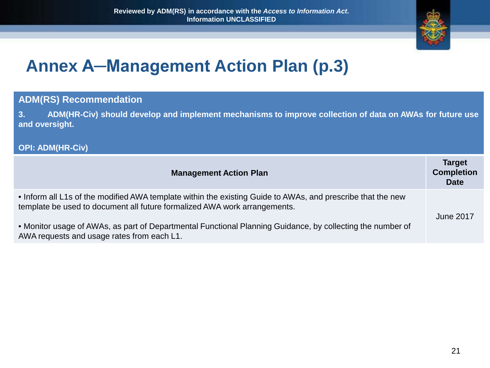

### **Annex A─Management Action Plan (p.3)**

#### **ADM(RS) Recommendation**

**3. ADM(HR-Civ) should develop and implement mechanisms to improve collection of data on AWAs for future use and oversight.**

| <b>Management Action Plan</b>                                                                                                                                                            | <b>Target</b><br><b>Completion</b><br><b>Date</b> |
|------------------------------------------------------------------------------------------------------------------------------------------------------------------------------------------|---------------------------------------------------|
| • Inform all L1s of the modified AWA template within the existing Guide to AWAs, and prescribe that the new<br>template be used to document all future formalized AWA work arrangements. | <b>June 2017</b>                                  |
| • Monitor usage of AWAs, as part of Departmental Functional Planning Guidance, by collecting the number of<br>AWA requests and usage rates from each L1.                                 |                                                   |